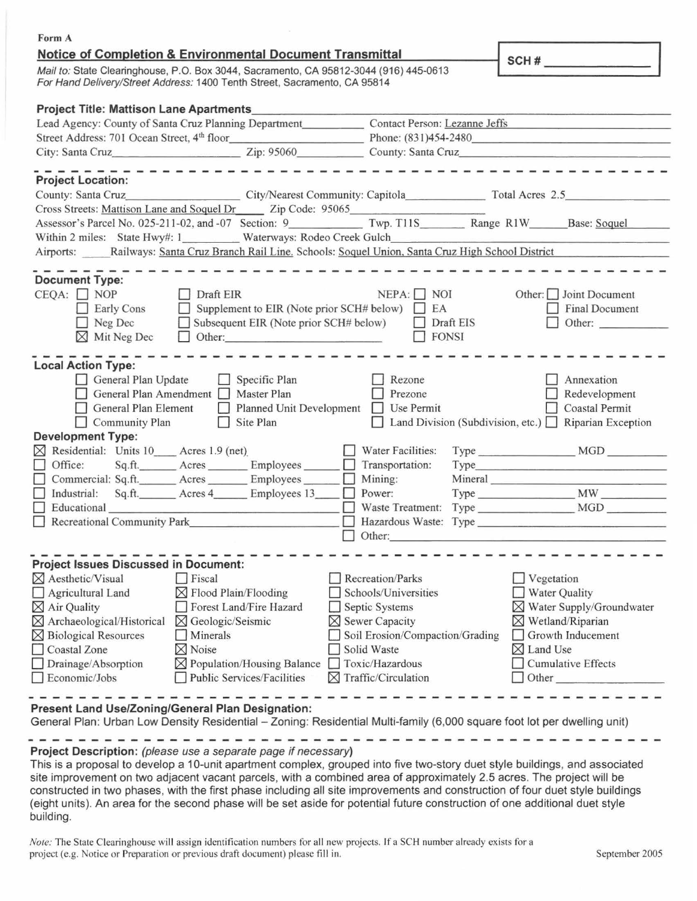| Form A                                                                                                                                                                                                               |                                                                                                                                              |
|----------------------------------------------------------------------------------------------------------------------------------------------------------------------------------------------------------------------|----------------------------------------------------------------------------------------------------------------------------------------------|
| <b>Notice of Completion &amp; Environmental Document Transmittal</b>                                                                                                                                                 | SCH#                                                                                                                                         |
| Mail to: State Clearinghouse, P.O. Box 3044, Sacramento, CA 95812-3044 (916) 445-0613<br>For Hand Delivery/Street Address: 1400 Tenth Street, Sacramento, CA 95814                                                   |                                                                                                                                              |
| <b>Project Title: Mattison Lane Apartments</b>                                                                                                                                                                       |                                                                                                                                              |
| Lead Agency: County of Santa Cruz Planning Department Contact Person: Lezanne Jeffs                                                                                                                                  |                                                                                                                                              |
|                                                                                                                                                                                                                      |                                                                                                                                              |
| City: Santa Cruz<br>Zip: 95060<br>County: Santa Cruz                                                                                                                                                                 |                                                                                                                                              |
| ----------------------------                                                                                                                                                                                         |                                                                                                                                              |
| <b>Project Location:</b><br>County: Santa Cruz City/Nearest Community: Capitola Total Acres 2.5                                                                                                                      |                                                                                                                                              |
| Cross Streets: Mattison Lane and Soquel Dr Zip Code: 95065                                                                                                                                                           |                                                                                                                                              |
|                                                                                                                                                                                                                      |                                                                                                                                              |
| Within 2 miles: State Hwy#: 1__________ Waterways: Rodeo Creek Gulch____________                                                                                                                                     |                                                                                                                                              |
| Airports: Railways: Santa Cruz Branch Rail Line. Schools: Soquel Union, Santa Cruz High School District                                                                                                              |                                                                                                                                              |
|                                                                                                                                                                                                                      |                                                                                                                                              |
| <b>Document Type:</b><br>Draft EIR<br>$CEQA: \Box NP$<br>Supplement to EIR (Note prior SCH# below) $\Box$ EA<br>Early Cons<br>Neg Dec<br>Subsequent EIR (Note prior SCH# below)<br>$\boxtimes$ Mit Neg Dec<br>Other: | $NEPA:$ NOI<br>Other: $\Box$ Joint Document<br>Final Document<br>$\Box$ Draft EIS<br>Other:<br>$\Box$ FONSI                                  |
| <b>Local Action Type:</b><br>General Plan Update<br>Specific Plan<br>Rezone<br>General Plan Amendment<br>Master Plan<br>General Plan Element<br>Planned Unit Development<br>Site Plan<br>$\Box$ Community Plan       | Annexation<br>Prezone<br>Redevelopment<br>Use Permit<br><b>Coastal Permit</b><br>Land Division (Subdivision, etc.) $\Box$ Riparian Exception |
| <b>Development Type:</b>                                                                                                                                                                                             |                                                                                                                                              |
| $\boxtimes$ Residential: Units 10 Acres 1.9 (net)<br>Water Facilities:                                                                                                                                               | $Type$ $MGD$                                                                                                                                 |
| Office:<br>Sq.ft.__________ Acres _________ Employees _______<br>Transportation:<br>$\Box$                                                                                                                           | Type                                                                                                                                         |
| Mining:<br>Commercial: Sq.ft._______ Acres ________ Employees ______                                                                                                                                                 |                                                                                                                                              |
| Sq.ft. ________ Acres 4________ Employees 13_____<br>Industrial:<br>Power:                                                                                                                                           |                                                                                                                                              |
| Educational <b>Execution Execution Educational</b><br>Waste Treatment:                                                                                                                                               | Type MGD                                                                                                                                     |
| Recreational Community Park<br>Other:                                                                                                                                                                                |                                                                                                                                              |
|                                                                                                                                                                                                                      |                                                                                                                                              |
| <b>Project Issues Discussed in Document:</b>                                                                                                                                                                         |                                                                                                                                              |
| $\boxtimes$ Aesthetic/Visual<br>Fiscal<br>Recreation/Parks<br>Schools/Universities                                                                                                                                   | Vegetation                                                                                                                                   |
| Agricultural Land<br>$\boxtimes$ Flood Plain/Flooding                                                                                                                                                                | <b>Water Quality</b>                                                                                                                         |
| $\boxtimes$ Air Quality<br>Forest Land/Fire Hazard<br>Septic Systems                                                                                                                                                 | $\boxtimes$ Water Supply/Groundwater                                                                                                         |
| $\boxtimes$ Archaeological/Historical<br>$\boxtimes$ Geologic/Seismic<br>Sewer Capacity                                                                                                                              | $\boxtimes$ Wetland/Riparian                                                                                                                 |
| $\boxtimes$ Biological Resources<br>Minerals                                                                                                                                                                         | Growth Inducement<br>Soil Erosion/Compaction/Grading                                                                                         |
| Solid Waste<br>Coastal Zone<br>$\boxtimes$ Noise                                                                                                                                                                     | Land Use<br>⋈                                                                                                                                |
| Toxic/Hazardous<br>Drainage/Absorption<br>Population/Housing Balance<br>⋈                                                                                                                                            | <b>Cumulative Effects</b>                                                                                                                    |
| $\boxtimes$ Traffic/Circulation<br>Economic/Jobs<br><b>Public Services/Facilities</b>                                                                                                                                | Other_                                                                                                                                       |

**Present Land Use/Zoning/General Plan Designation:** 

General Plan: Urban Low Density Residential - Zoning: Residential Multi-family (6,000 square foot lot per dwelling unit)

## **Project Description:** *(please use a separate page if necessary*)

This is a proposal to develop a 10-unit apartment complex, grouped into five two-story duet style buildings, and associated site improvement on two adjacent vacant parcels, with a combined area of approximately 2.5 acres. The project will be constructed in two phases, with the first phase including all site improvements and construction of four duet style buildings (eight units). An area for the second phase will be set aside for potential future construction of one additional duet style building.

Note: The State Clearinghouse will assign identification numbers for all new projects. If a SCH number already exists for a project (e.g. Notice or Preparation or previous draft document) please fill in. September 2005